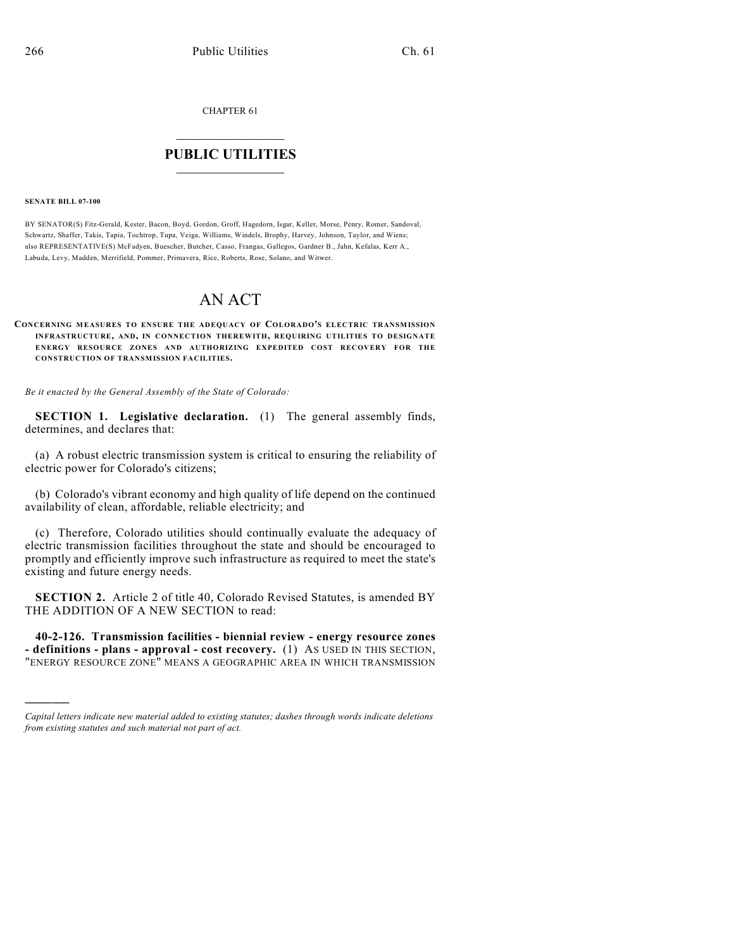CHAPTER 61

## $\mathcal{L}_\text{max}$  . The set of the set of the set of the set of the set of the set of the set of the set of the set of the set of the set of the set of the set of the set of the set of the set of the set of the set of the set **PUBLIC UTILITIES** \_\_\_\_\_\_\_\_\_\_\_\_\_\_\_

## **SENATE BILL 07-100**

)))))

BY SENATOR(S) Fitz-Gerald, Kester, Bacon, Boyd, Gordon, Groff, Hagedorn, Isgar, Keller, Morse, Penry, Romer, Sandoval, Schwartz, Shaffer, Takis, Tapia, Tochtrop, Tupa, Veiga, Williams, Windels, Brophy, Harvey, Johnson, Taylor, and Wiens; also REPRESENTATIVE(S) McFadyen, Buescher, Butcher, Casso, Frangas, Gallegos, Gardner B., Jahn, Kefalas, Kerr A., Labuda, Levy, Madden, Merrifield, Pommer, Primavera, Rice, Roberts, Rose, Solano, and Witwer.

## AN ACT

## **CONCERNING MEASURES TO ENSURE THE ADEQUACY OF COLORADO'S ELECTRIC TRANSMISSION INFRASTRUCTURE, AND, IN CONNECTION THEREWITH, REQUIRING UTILITIES TO DESIGNATE ENERGY RESOURCE ZONES AND AUTHORIZING EXPEDITED COST RECOVERY FOR THE CONSTRUCTION OF TRANSMISSION FACILITIES.**

*Be it enacted by the General Assembly of the State of Colorado:*

**SECTION 1. Legislative declaration.** (1) The general assembly finds, determines, and declares that:

(a) A robust electric transmission system is critical to ensuring the reliability of electric power for Colorado's citizens;

(b) Colorado's vibrant economy and high quality of life depend on the continued availability of clean, affordable, reliable electricity; and

(c) Therefore, Colorado utilities should continually evaluate the adequacy of electric transmission facilities throughout the state and should be encouraged to promptly and efficiently improve such infrastructure as required to meet the state's existing and future energy needs.

**SECTION 2.** Article 2 of title 40, Colorado Revised Statutes, is amended BY THE ADDITION OF A NEW SECTION to read:

**40-2-126. Transmission facilities - biennial review - energy resource zones - definitions - plans - approval - cost recovery.** (1) AS USED IN THIS SECTION, "ENERGY RESOURCE ZONE" MEANS A GEOGRAPHIC AREA IN WHICH TRANSMISSION

*Capital letters indicate new material added to existing statutes; dashes through words indicate deletions from existing statutes and such material not part of act.*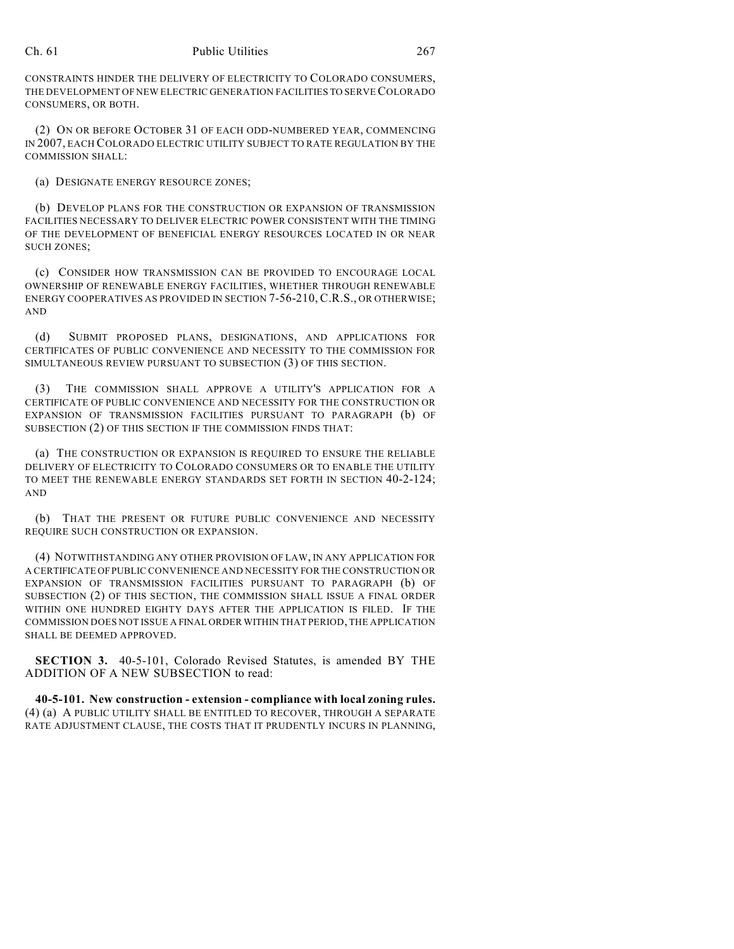CONSTRAINTS HINDER THE DELIVERY OF ELECTRICITY TO COLORADO CONSUMERS, THE DEVELOPMENT OF NEW ELECTRIC GENERATION FACILITIES TO SERVE COLORADO CONSUMERS, OR BOTH.

(2) ON OR BEFORE OCTOBER 31 OF EACH ODD-NUMBERED YEAR, COMMENCING IN 2007, EACH COLORADO ELECTRIC UTILITY SUBJECT TO RATE REGULATION BY THE COMMISSION SHALL:

(a) DESIGNATE ENERGY RESOURCE ZONES;

(b) DEVELOP PLANS FOR THE CONSTRUCTION OR EXPANSION OF TRANSMISSION FACILITIES NECESSARY TO DELIVER ELECTRIC POWER CONSISTENT WITH THE TIMING OF THE DEVELOPMENT OF BENEFICIAL ENERGY RESOURCES LOCATED IN OR NEAR SUCH ZONES;

(c) CONSIDER HOW TRANSMISSION CAN BE PROVIDED TO ENCOURAGE LOCAL OWNERSHIP OF RENEWABLE ENERGY FACILITIES, WHETHER THROUGH RENEWABLE ENERGY COOPERATIVES AS PROVIDED IN SECTION 7-56-210, C.R.S., OR OTHERWISE; AND

(d) SUBMIT PROPOSED PLANS, DESIGNATIONS, AND APPLICATIONS FOR CERTIFICATES OF PUBLIC CONVENIENCE AND NECESSITY TO THE COMMISSION FOR SIMULTANEOUS REVIEW PURSUANT TO SUBSECTION (3) OF THIS SECTION.

(3) THE COMMISSION SHALL APPROVE A UTILITY'S APPLICATION FOR A CERTIFICATE OF PUBLIC CONVENIENCE AND NECESSITY FOR THE CONSTRUCTION OR EXPANSION OF TRANSMISSION FACILITIES PURSUANT TO PARAGRAPH (b) OF SUBSECTION (2) OF THIS SECTION IF THE COMMISSION FINDS THAT:

(a) THE CONSTRUCTION OR EXPANSION IS REQUIRED TO ENSURE THE RELIABLE DELIVERY OF ELECTRICITY TO COLORADO CONSUMERS OR TO ENABLE THE UTILITY TO MEET THE RENEWABLE ENERGY STANDARDS SET FORTH IN SECTION 40-2-124; AND

(b) THAT THE PRESENT OR FUTURE PUBLIC CONVENIENCE AND NECESSITY REQUIRE SUCH CONSTRUCTION OR EXPANSION.

(4) NOTWITHSTANDING ANY OTHER PROVISION OF LAW, IN ANY APPLICATION FOR A CERTIFICATE OF PUBLIC CONVENIENCE AND NECESSITY FOR THE CONSTRUCTION OR EXPANSION OF TRANSMISSION FACILITIES PURSUANT TO PARAGRAPH (b) OF SUBSECTION (2) OF THIS SECTION, THE COMMISSION SHALL ISSUE A FINAL ORDER WITHIN ONE HUNDRED EIGHTY DAYS AFTER THE APPLICATION IS FILED. IF THE COMMISSION DOES NOT ISSUE A FINAL ORDER WITHIN THAT PERIOD, THE APPLICATION SHALL BE DEEMED APPROVED.

**SECTION 3.** 40-5-101, Colorado Revised Statutes, is amended BY THE ADDITION OF A NEW SUBSECTION to read:

**40-5-101. New construction - extension - compliance with local zoning rules.** (4) (a) A PUBLIC UTILITY SHALL BE ENTITLED TO RECOVER, THROUGH A SEPARATE RATE ADJUSTMENT CLAUSE, THE COSTS THAT IT PRUDENTLY INCURS IN PLANNING,